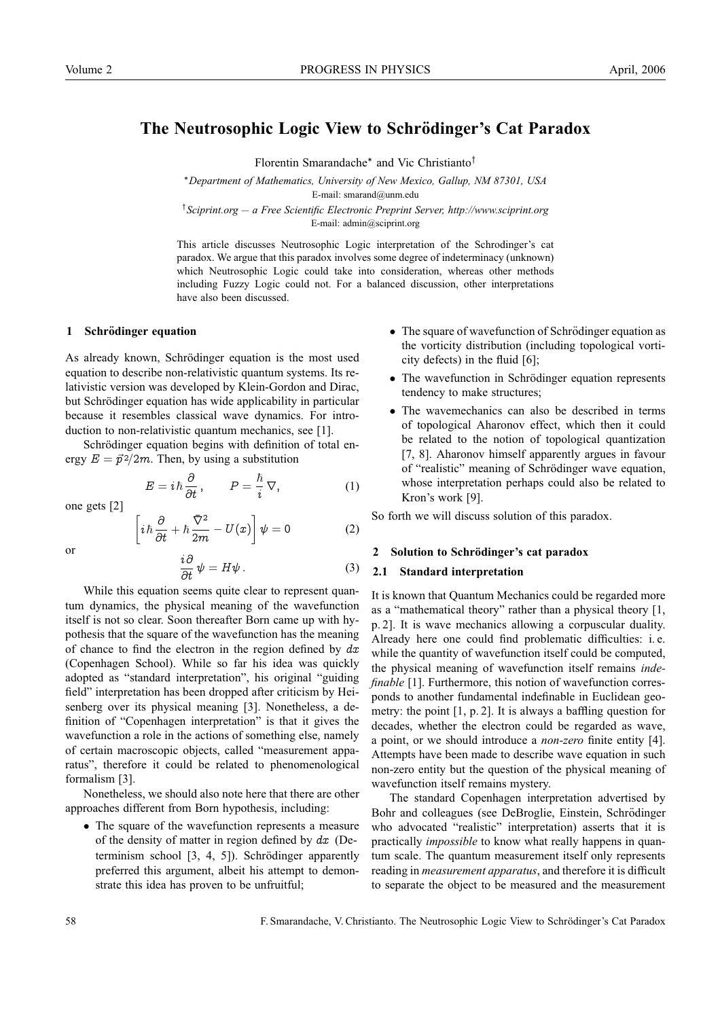# **The Neutrosophic Logic View to Schrödinger's Cat Paradox**

Florentin Smarandache∗ and Vic Christianto†

<sup>∗</sup>*Department of Mathematics, University of New Mexico, Gallup, NM 87301, USA* E-mail: smarand@unm.edu

† *Sciprint.org — a Free Scientific Electronic Preprint Server, http://www.sciprint.org* E-mail: admin@sciprint.org

This article discusses Neutrosophic Logic interpretation of the Schrodinger's cat paradox. We argue that this paradox involves some degree of indeterminacy (unknown) which Neutrosophic Logic could take into consideration, whereas other methods including Fuzzy Logic could not. For a balanced discussion, other interpretations have also been discussed.

#### **1** Schrödinger equation

As already known, Schrödinger equation is the most used equation to describe non-relativistic quantum systems. Its relativistic version was developed by Klein-Gordon and Dirac, but Schrödinger equation has wide applicability in particular because it resembles classical wave dynamics. For introduction to non-relativistic quantum mechanics, see [1].

Schrödinger equation begins with definition of total energy  $E = \vec{p}^2/2m$ . Then, by using a substitution

$$
E = i\hbar \frac{\partial}{\partial t}, \qquad P = \frac{\hbar}{i} \nabla, \tag{1}
$$

one gets [2]

$$
\left[i\hbar\frac{\partial}{\partial t} + \hbar\frac{\bar{\nabla}^2}{2m} - U(x)\right]\psi = 0 \tag{2}
$$

or

$$
\frac{i\partial}{\partial t}\,\psi = H\psi\,.
$$
 (3)

While this equation seems quite clear to represent quantum dynamics, the physical meaning of the wavefunction itself is not so clear. Soon thereafter Born came up with hypothesis that the square of the wavefunction has the meaning of chance to find the electron in the region defined by  $dx$ (Copenhagen School). While so far his idea was quickly adopted as "standard interpretation", his original "guiding field" interpretation has been dropped after criticism by Heisenberg over its physical meaning [3]. Nonetheless, a definition of "Copenhagen interpretation" is that it gives the wavefunction a role in the actions of something else, namely of certain macroscopic objects, called "measurement apparatus", therefore it could be related to phenomenological formalism [3].

Nonetheless, we should also note here that there are other approaches different from Born hypothesis, including:

• The square of the wavefunction represents a measure of the density of matter in region defined by  $dx$  (Determinism school  $[3, 4, 5]$ ). Schrödinger apparently preferred this argument, albeit his attempt to demonstrate this idea has proven to be unfruitful;

- The square of wavefunction of Schrödinger equation as the vorticity distribution (including topological vorticity defects) in the fluid [6];
- The wavefunction in Schrödinger equation represents tendency to make structures;
- The wavemechanics can also be described in terms of topological Aharonov effect, which then it could be related to the notion of topological quantization [7, 8]. Aharonov himself apparently argues in favour of "realistic" meaning of Schrödinger wave equation, whose interpretation perhaps could also be related to Kron's work [9].

So forth we will discuss solution of this paradox.

### **2** Solution to Schrödinger's cat paradox

#### **2.1 Standard interpretation**

It is known that Quantum Mechanics could be regarded more as a "mathematical theory" rather than a physical theory [1, p. 2]. It is wave mechanics allowing a corpuscular duality. Already here one could find problematic difficulties: i. e. while the quantity of wavefunction itself could be computed, the physical meaning of wavefunction itself remains *indefinable* [1]. Furthermore, this notion of wavefunction corresponds to another fundamental indefinable in Euclidean geometry: the point [1, p. 2]. It is always a baffling question for decades, whether the electron could be regarded as wave, a point, or we should introduce a *non-zero* finite entity [4]. Attempts have been made to describe wave equation in such non-zero entity but the question of the physical meaning of wavefunction itself remains mystery.

The standard Copenhagen interpretation advertised by Bohr and colleagues (see DeBroglie, Einstein, Schrödinger who advocated "realistic" interpretation) asserts that it is practically *impossible* to know what really happens in quantum scale. The quantum measurement itself only represents reading in *measurement apparatus*, and therefore it is difficult to separate the object to be measured and the measurement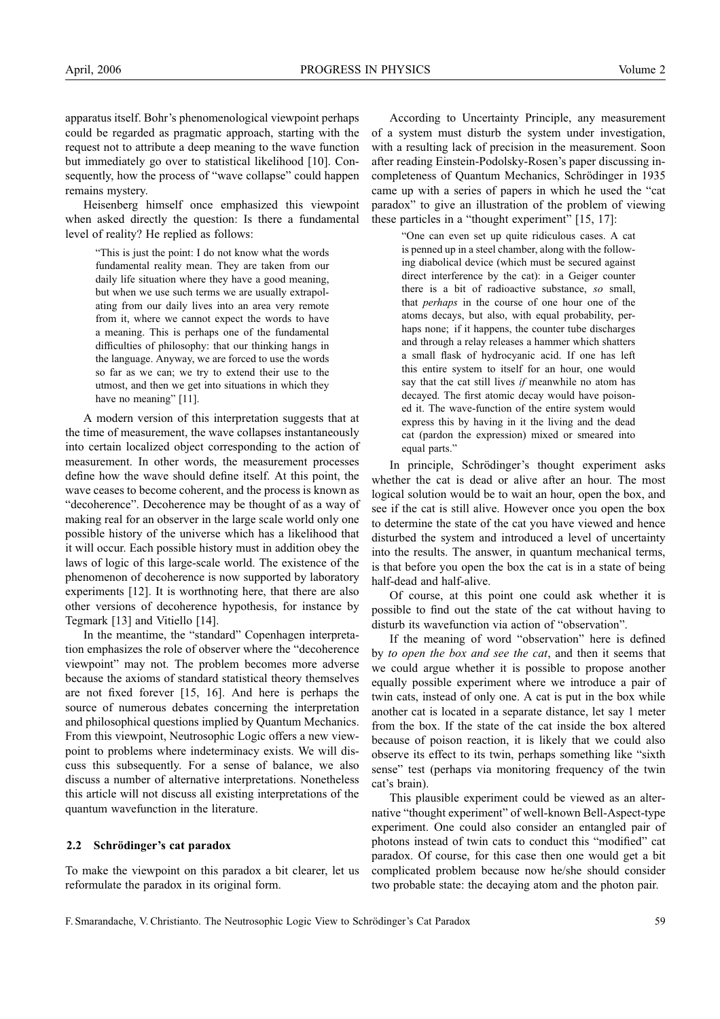apparatus itself. Bohr's phenomenological viewpoint perhaps could be regarded as pragmatic approach, starting with the request not to attribute a deep meaning to the wave function but immediately go over to statistical likelihood [10]. Consequently, how the process of "wave collapse" could happen remains mystery.

Heisenberg himself once emphasized this viewpoint when asked directly the question: Is there a fundamental level of reality? He replied as follows:

> "This is just the point: I do not know what the words fundamental reality mean. They are taken from our daily life situation where they have a good meaning, but when we use such terms we are usually extrapolating from our daily lives into an area very remote from it, where we cannot expect the words to have a meaning. This is perhaps one of the fundamental difficulties of philosophy: that our thinking hangs in the language. Anyway, we are forced to use the words so far as we can; we try to extend their use to the utmost, and then we get into situations in which they have no meaning" [11].

A modern version of this interpretation suggests that at the time of measurement, the wave collapses instantaneously into certain localized object corresponding to the action of measurement. In other words, the measurement processes define how the wave should define itself. At this point, the wave ceases to become coherent, and the process is known as "decoherence". Decoherence may be thought of as a way of making real for an observer in the large scale world only one possible history of the universe which has a likelihood that it will occur. Each possible history must in addition obey the laws of logic of this large-scale world. The existence of the phenomenon of decoherence is now supported by laboratory experiments [12]. It is worthnoting here, that there are also other versions of decoherence hypothesis, for instance by Tegmark [13] and Vitiello [14].

In the meantime, the "standard" Copenhagen interpretation emphasizes the role of observer where the "decoherence viewpoint" may not. The problem becomes more adverse because the axioms of standard statistical theory themselves are not fixed forever [15, 16]. And here is perhaps the source of numerous debates concerning the interpretation and philosophical questions implied by Quantum Mechanics. From this viewpoint, Neutrosophic Logic offers a new viewpoint to problems where indeterminacy exists. We will discuss this subsequently. For a sense of balance, we also discuss a number of alternative interpretations. Nonetheless this article will not discuss all existing interpretations of the quantum wavefunction in the literature.

### **2.2** Schrödinger's cat paradox

To make the viewpoint on this paradox a bit clearer, let us reformulate the paradox in its original form.

According to Uncertainty Principle, any measurement of a system must disturb the system under investigation, with a resulting lack of precision in the measurement. Soon after reading Einstein-Podolsky-Rosen's paper discussing incompleteness of Quantum Mechanics, Schrödinger in 1935 came up with a series of papers in which he used the "cat paradox" to give an illustration of the problem of viewing these particles in a "thought experiment" [15, 17]:

> "One can even set up quite ridiculous cases. A cat is penned up in a steel chamber, along with the following diabolical device (which must be secured against direct interference by the cat): in a Geiger counter there is a bit of radioactive substance, *so* small, that *perhaps* in the course of one hour one of the atoms decays, but also, with equal probability, perhaps none; if it happens, the counter tube discharges and through a relay releases a hammer which shatters a small flask of hydrocyanic acid. If one has left this entire system to itself for an hour, one would say that the cat still lives *if* meanwhile no atom has decayed. The first atomic decay would have poisoned it. The wave-function of the entire system would express this by having in it the living and the dead cat (pardon the expression) mixed or smeared into equal parts."

In principle, Schrödinger's thought experiment asks whether the cat is dead or alive after an hour. The most logical solution would be to wait an hour, open the box, and see if the cat is still alive. However once you open the box to determine the state of the cat you have viewed and hence disturbed the system and introduced a level of uncertainty into the results. The answer, in quantum mechanical terms, is that before you open the box the cat is in a state of being half-dead and half-alive.

Of course, at this point one could ask whether it is possible to find out the state of the cat without having to disturb its wavefunction via action of "observation".

If the meaning of word "observation" here is defined by *to open the box and see the cat*, and then it seems that we could argue whether it is possible to propose another equally possible experiment where we introduce a pair of twin cats, instead of only one. A cat is put in the box while another cat is located in a separate distance, let say 1 meter from the box. If the state of the cat inside the box altered because of poison reaction, it is likely that we could also observe its effect to its twin, perhaps something like "sixth sense" test (perhaps via monitoring frequency of the twin cat's brain).

This plausible experiment could be viewed as an alternative "thought experiment" of well-known Bell-Aspect-type experiment. One could also consider an entangled pair of photons instead of twin cats to conduct this "modified" cat paradox. Of course, for this case then one would get a bit complicated problem because now he/she should consider two probable state: the decaying atom and the photon pair.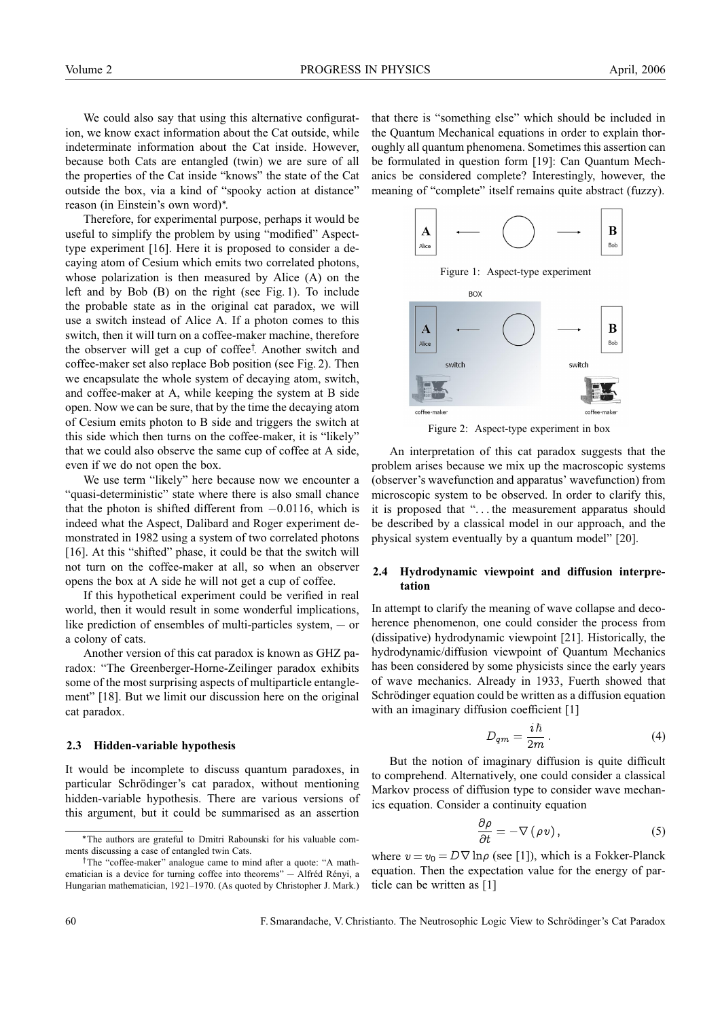We could also say that using this alternative configuration, we know exact information about the Cat outside, while indeterminate information about the Cat inside. However, because both Cats are entangled (twin) we are sure of all the properties of the Cat inside "knows" the state of the Cat outside the box, via a kind of "spooky action at distance" reason (in Einstein's own word)∗ .

Therefore, for experimental purpose, perhaps it would be useful to simplify the problem by using "modified" Aspecttype experiment [16]. Here it is proposed to consider a decaying atom of Cesium which emits two correlated photons, whose polarization is then measured by Alice (A) on the left and by Bob (B) on the right (see Fig. 1). To include the probable state as in the original cat paradox, we will use a switch instead of Alice A. If a photon comes to this switch, then it will turn on a coffee-maker machine, therefore the observer will get a cup of coffee† . Another switch and coffee-maker set also replace Bob position (see Fig. 2). Then we encapsulate the whole system of decaying atom, switch, and coffee-maker at A, while keeping the system at B side open. Now we can be sure, that by the time the decaying atom of Cesium emits photon to B side and triggers the switch at this side which then turns on the coffee-maker, it is "likely" that we could also observe the same cup of coffee at A side, even if we do not open the box.

We use term "likely" here because now we encounter a "quasi-deterministic" state where there is also small chance that the photon is shifted different from  $-0.0116$ , which is indeed what the Aspect, Dalibard and Roger experiment demonstrated in 1982 using a system of two correlated photons [16]. At this "shifted" phase, it could be that the switch will not turn on the coffee-maker at all, so when an observer opens the box at A side he will not get a cup of coffee.

If this hypothetical experiment could be verified in real world, then it would result in some wonderful implications, like prediction of ensembles of multi-particles system, — or a colony of cats.

Another version of this cat paradox is known as GHZ paradox: "The Greenberger-Horne-Zeilinger paradox exhibits some of the most surprising aspects of multiparticle entanglement" [18]. But we limit our discussion here on the original cat paradox.

## **2.3 Hidden-variable hypothesis**

It would be incomplete to discuss quantum paradoxes, in particular Schrödinger's cat paradox, without mentioning hidden-variable hypothesis. There are various versions of this argument, but it could be summarised as an assertion

that there is "something else" which should be included in the Quantum Mechanical equations in order to explain thoroughly all quantum phenomena. Sometimes this assertion can be formulated in question form [19]: Can Quantum Mechanics be considered complete? Interestingly, however, the meaning of "complete" itself remains quite abstract (fuzzy).



Figure 2: Aspect-type experiment in box

An interpretation of this cat paradox suggests that the problem arises because we mix up the macroscopic systems (observer's wavefunction and apparatus' wavefunction) from microscopic system to be observed. In order to clarify this, it is proposed that ". . . the measurement apparatus should be described by a classical model in our approach, and the physical system eventually by a quantum model" [20].

## **2.4 Hydrodynamic viewpoint and diffusion interpretation**

In attempt to clarify the meaning of wave collapse and decoherence phenomenon, one could consider the process from (dissipative) hydrodynamic viewpoint [21]. Historically, the hydrodynamic/diffusion viewpoint of Quantum Mechanics has been considered by some physicists since the early years of wave mechanics. Already in 1933, Fuerth showed that Schrödinger equation could be written as a diffusion equation with an imaginary diffusion coefficient [1]

$$
D_{qm} = \frac{i\hbar}{2m} \,. \tag{4}
$$

But the notion of imaginary diffusion is quite difficult to comprehend. Alternatively, one could consider a classical Markov process of diffusion type to consider wave mechanics equation. Consider a continuity equation

$$
\frac{\partial \rho}{\partial t} = -\nabla \left( \rho v \right),\tag{5}
$$

where  $v = v_0 = D \nabla \ln \rho$  (see [1]), which is a Fokker-Planck equation. Then the expectation value for the energy of particle can be written as [1]

<sup>∗</sup>The authors are grateful to Dmitri Rabounski for his valuable comments discussing a case of entangled twin Cats.

<sup>†</sup>The "coffee-maker" analogue came to mind after a quote: "A mathematician is a device for turning coffee into theorems"  $-$  Alfréd Rényi, a Hungarian mathematician, 1921–1970. (As quoted by Christopher J. Mark.)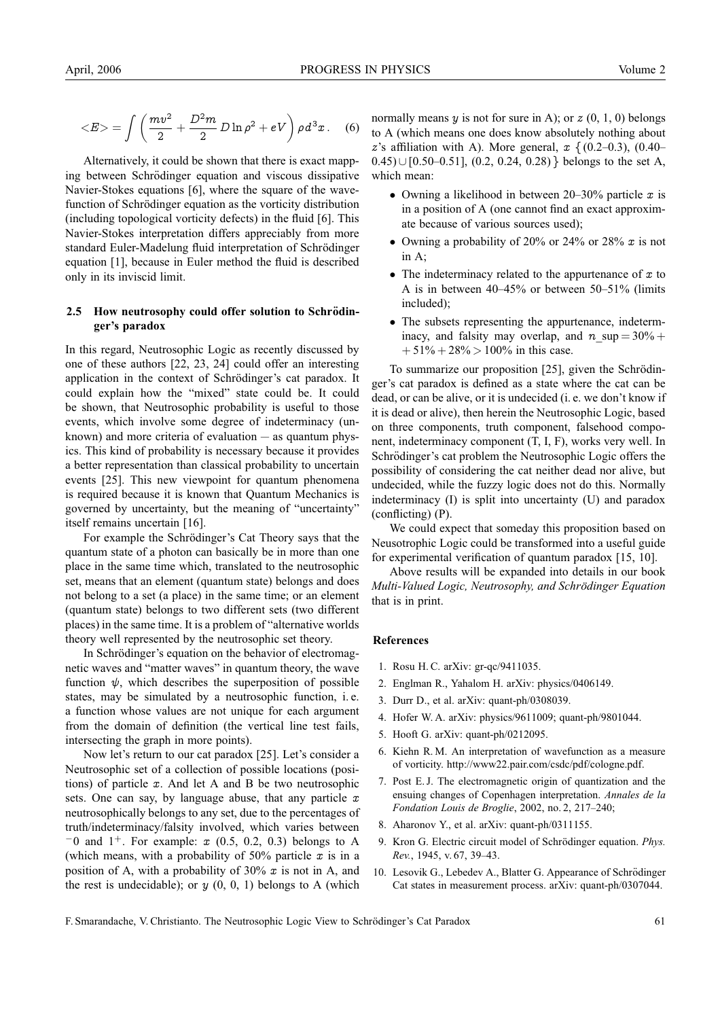$$
\langle E \rangle = \int \left( \frac{mv^2}{2} + \frac{D^2m}{2} D \ln \rho^2 + eV \right) \rho d^3x. \quad (6)
$$

Alternatively, it could be shown that there is exact mapping between Schrödinger equation and viscous dissipative Navier-Stokes equations [6], where the square of the wavefunction of Schrödinger equation as the vorticity distribution (including topological vorticity defects) in the fluid [6]. This Navier-Stokes interpretation differs appreciably from more standard Euler-Madelung fluid interpretation of Schrödinger equation [1], because in Euler method the fluid is described only in its inviscid limit.

# **2.5 How neutrosophy could offer solution to Schrodin- ¨ ger's paradox**

In this regard, Neutrosophic Logic as recently discussed by one of these authors [22, 23, 24] could offer an interesting application in the context of Schrödinger's cat paradox. It could explain how the "mixed" state could be. It could be shown, that Neutrosophic probability is useful to those events, which involve some degree of indeterminacy (unknown) and more criteria of evaluation  $-$  as quantum physics. This kind of probability is necessary because it provides a better representation than classical probability to uncertain events [25]. This new viewpoint for quantum phenomena is required because it is known that Quantum Mechanics is governed by uncertainty, but the meaning of "uncertainty" itself remains uncertain [16].

For example the Schrödinger's Cat Theory says that the quantum state of a photon can basically be in more than one place in the same time which, translated to the neutrosophic set, means that an element (quantum state) belongs and does not belong to a set (a place) in the same time; or an element (quantum state) belongs to two different sets (two different places) in the same time. It is a problem of "alternative worlds theory well represented by the neutrosophic set theory.

In Schrödinger's equation on the behavior of electromagnetic waves and "matter waves" in quantum theory, the wave function  $\psi$ , which describes the superposition of possible states, may be simulated by a neutrosophic function, i. e. a function whose values are not unique for each argument from the domain of definition (the vertical line test fails, intersecting the graph in more points).

Now let's return to our cat paradox [25]. Let's consider a Neutrosophic set of a collection of possible locations (positions) of particle  $x$ . And let A and B be two neutrosophic sets. One can say, by language abuse, that any particle  $x$ neutrosophically belongs to any set, due to the percentages of truth/indeterminacy/falsity involved, which varies between  $-0$  and  $1^+$ . For example: x (0.5, 0.2, 0.3) belongs to A (which means, with a probability of  $50\%$  particle x is in a position of A, with a probability of  $30\%$  x is not in A, and the rest is undecidable); or  $y(0, 0, 1)$  belongs to A (which

normally means  $y$  is not for sure in A); or  $z$  (0, 1, 0) belongs to A (which means one does know absolutely nothing about z's affiliation with A). More general,  $x \{ (0.2-0.3), (0.40-0.3)\}$  $(0.45)$  ∪ [0.50–0.51], (0.2, 0.24, 0.28) } belongs to the set A, which mean:

- Owning a likelihood in between 20–30% particle  $x$  is in a position of A (one cannot find an exact approximate because of various sources used);
- Owning a probability of 20% or 24% or 28%  $x$  is not in A;
- The indeterminacy related to the appurtenance of  $x$  to A is in between 40–45% or between 50–51% (limits included);
- The subsets representing the appurtenance, indeterminacy, and falsity may overlap, and n sup =  $30\%$  +  $+ 51\% + 28\% > 100\%$  in this case.

To summarize our proposition [25], given the Schrödinger's cat paradox is defined as a state where the cat can be dead, or can be alive, or it is undecided (i. e. we don't know if it is dead or alive), then herein the Neutrosophic Logic, based on three components, truth component, falsehood component, indeterminacy component (T, I, F), works very well. In Schrödinger's cat problem the Neutrosophic Logic offers the possibility of considering the cat neither dead nor alive, but undecided, while the fuzzy logic does not do this. Normally indeterminacy (I) is split into uncertainty (U) and paradox (conflicting) (P).

We could expect that someday this proposition based on Neusotrophic Logic could be transformed into a useful guide for experimental verification of quantum paradox [15, 10].

Above results will be expanded into details in our book *Multi-Valued Logic, Neutrosophy, and Schrödinger Equation* that is in print.

## **References**

- 1. Rosu H. C. arXiv: gr-qc/9411035.
- 2. Englman R., Yahalom H. arXiv: physics/0406149.
- 3. Durr D., et al. arXiv: quant-ph/0308039.
- 4. Hofer W. A. arXiv: physics/9611009; quant-ph/9801044.
- 5. Hooft G. arXiv: quant-ph/0212095.
- 6. Kiehn R. M. An interpretation of wavefunction as a measure of vorticity. http://www22.pair.com/csdc/pdf/cologne.pdf.
- 7. Post E. J. The electromagnetic origin of quantization and the ensuing changes of Copenhagen interpretation. *Annales de la Fondation Louis de Broglie*, 2002, no. 2, 217–240;
- 8. Aharonov Y., et al. arXiv: quant-ph/0311155.
- Kron G. Electric circuit model of Schrödinger equation. *Phys. Rev.*, 1945, v. 67, 39–43.
- 10. Lesovik G., Lebedev A., Blatter G. Appearance of Schrödinger Cat states in measurement process. arXiv: quant-ph/0307044.

F. Smarandache, V. Christianto. The Neutrosophic Logic View to Schrödinger's Cat Paradox 61 61